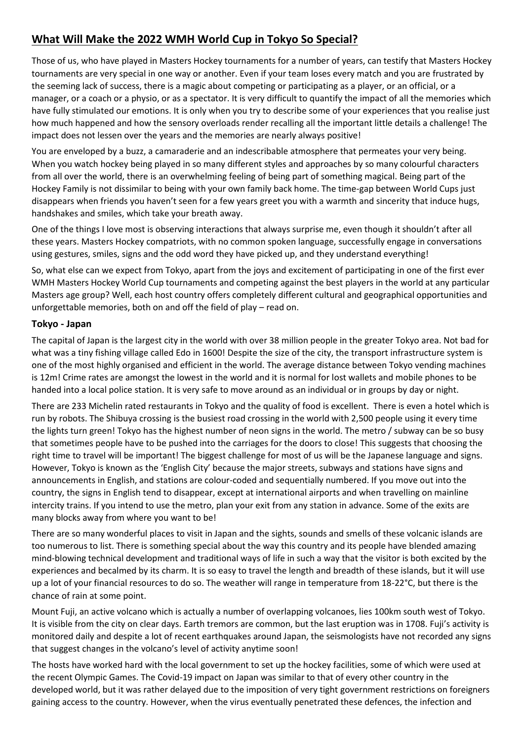## **What Will Make the 2022 WMH World Cup in Tokyo So Special?**

Those of us, who have played in Masters Hockey tournaments for a number of years, can testify that Masters Hockey tournaments are very special in one way or another. Even if your team loses every match and you are frustrated by the seeming lack of success, there is a magic about competing or participating as a player, or an official, or a manager, or a coach or a physio, or as a spectator. It is very difficult to quantify the impact of all the memories which have fully stimulated our emotions. It is only when you try to describe some of your experiences that you realise just how much happened and how the sensory overloads render recalling all the important little details a challenge! The impact does not lessen over the years and the memories are nearly always positive!

You are enveloped by a buzz, a camaraderie and an indescribable atmosphere that permeates your very being. When you watch hockey being played in so many different styles and approaches by so many colourful characters from all over the world, there is an overwhelming feeling of being part of something magical. Being part of the Hockey Family is not dissimilar to being with your own family back home. The time-gap between World Cups just disappears when friends you haven't seen for a few years greet you with a warmth and sincerity that induce hugs, handshakes and smiles, which take your breath away.

One of the things I love most is observing interactions that always surprise me, even though it shouldn't after all these years. Masters Hockey compatriots, with no common spoken language, successfully engage in conversations using gestures, smiles, signs and the odd word they have picked up, and they understand everything!

So, what else can we expect from Tokyo, apart from the joys and excitement of participating in one of the first ever WMH Masters Hockey World Cup tournaments and competing against the best players in the world at any particular Masters age group? Well, each host country offers completely different cultural and geographical opportunities and unforgettable memories, both on and off the field of play – read on.

## **Tokyo - Japan**

The capital of Japan is the largest city in the world with over 38 million people in the greater Tokyo area. Not bad for what was a tiny fishing village called Edo in 1600! Despite the size of the city, the transport infrastructure system is one of the most highly organised and efficient in the world. The average distance between Tokyo vending machines is 12m! Crime rates are amongst the lowest in the world and it is normal for lost wallets and mobile phones to be handed into a local police station. It is very safe to move around as an individual or in groups by day or night.

There are 233 Michelin rated restaurants in Tokyo and the quality of food is excellent. There is even a hotel which is run by robots. The Shibuya crossing is the busiest road crossing in the world with 2,500 people using it every time the lights turn green! Tokyo has the highest number of neon signs in the world. The metro / subway can be so busy that sometimes people have to be pushed into the carriages for the doors to close! This suggests that choosing the right time to travel will be important! The biggest challenge for most of us will be the Japanese language and signs. However, Tokyo is known as the 'English City' because the major streets, subways and stations have signs and announcements in English, and stations are colour-coded and sequentially numbered. If you move out into the country, the signs in English tend to disappear, except at international airports and when travelling on mainline intercity trains. If you intend to use the metro, plan your exit from any station in advance. Some of the exits are many blocks away from where you want to be!

There are so many wonderful places to visit in Japan and the sights, sounds and smells of these volcanic islands are too numerous to list. There is something special about the way this country and its people have blended amazing mind-blowing technical development and traditional ways of life in such a way that the visitor is both excited by the experiences and becalmed by its charm. It is so easy to travel the length and breadth of these islands, but it will use up a lot of your financial resources to do so. The weather will range in temperature from 18-22°C, but there is the chance of rain at some point.

Mount Fuji, an active volcano which is actually a number of overlapping volcanoes, lies 100km south west of Tokyo. It is visible from the city on clear days. Earth tremors are common, but the last eruption was in 1708. Fuji's activity is monitored daily and despite a lot of recent earthquakes around Japan, the seismologists have not recorded any signs that suggest changes in the volcano's level of activity anytime soon!

The hosts have worked hard with the local government to set up the hockey facilities, some of which were used at the recent Olympic Games. The Covid-19 impact on Japan was similar to that of every other country in the developed world, but it was rather delayed due to the imposition of very tight government restrictions on foreigners gaining access to the country. However, when the virus eventually penetrated these defences, the infection and